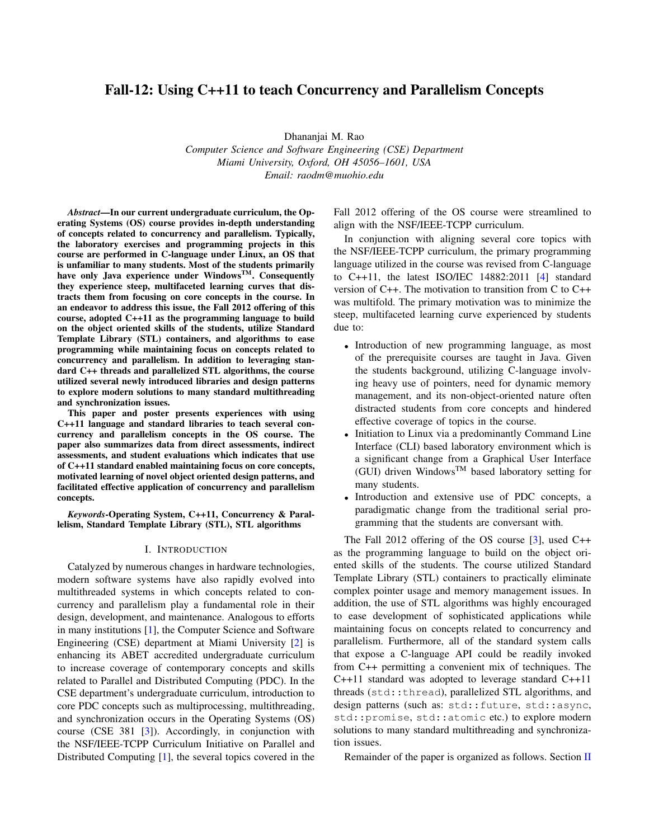# Fall-12: Using C++11 to teach Concurrency and Parallelism Concepts

Dhananjai M. Rao *Computer Science and Software Engineering (CSE) Department Miami University, Oxford, OH 45056–1601, USA Email: raodm@muohio.edu*

*Abstract*—In our current undergraduate curriculum, the Operating Systems (OS) course provides in-depth understanding of concepts related to concurrency and parallelism. Typically, the laboratory exercises and programming projects in this course are performed in C-language under Linux, an OS that is unfamiliar to many students. Most of the students primarily have only Java experience under Windows<sup>TM</sup>. Consequently they experience steep, multifaceted learning curves that distracts them from focusing on core concepts in the course. In an endeavor to address this issue, the Fall 2012 offering of this course, adopted C++11 as the programming language to build on the object oriented skills of the students, utilize Standard Template Library (STL) containers, and algorithms to ease programming while maintaining focus on concepts related to concurrency and parallelism. In addition to leveraging standard C++ threads and parallelized STL algorithms, the course utilized several newly introduced libraries and design patterns to explore modern solutions to many standard multithreading and synchronization issues.

This paper and poster presents experiences with using C++11 language and standard libraries to teach several concurrency and parallelism concepts in the OS course. The paper also summarizes data from direct assessments, indirect assessments, and student evaluations which indicates that use of C++11 standard enabled maintaining focus on core concepts, motivated learning of novel object oriented design patterns, and facilitated effective application of concurrency and parallelism concepts.

*Keywords*-Operating System, C++11, Concurrency & Parallelism, Standard Template Library (STL), STL algorithms

#### I. INTRODUCTION

Catalyzed by numerous changes in hardware technologies, modern software systems have also rapidly evolved into multithreaded systems in which concepts related to concurrency and parallelism play a fundamental role in their design, development, and maintenance. Analogous to efforts in many institutions [\[1\]](#page-3-0), the Computer Science and Software Engineering (CSE) department at Miami University [\[2\]](#page-3-1) is enhancing its ABET accredited undergraduate curriculum to increase coverage of contemporary concepts and skills related to Parallel and Distributed Computing (PDC). In the CSE department's undergraduate curriculum, introduction to core PDC concepts such as multiprocessing, multithreading, and synchronization occurs in the Operating Systems (OS) course (CSE 381 [\[3\]](#page-3-2)). Accordingly, in conjunction with the NSF/IEEE-TCPP Curriculum Initiative on Parallel and Distributed Computing [\[1\]](#page-3-0), the several topics covered in the Fall 2012 offering of the OS course were streamlined to align with the NSF/IEEE-TCPP curriculum.

In conjunction with aligning several core topics with the NSF/IEEE-TCPP curriculum, the primary programming language utilized in the course was revised from C-language to C++11, the latest ISO/IEC 14882:2011 [\[4\]](#page-3-3) standard version of C++. The motivation to transition from C to C++ was multifold. The primary motivation was to minimize the steep, multifaceted learning curve experienced by students due to:

- Introduction of new programming language, as most of the prerequisite courses are taught in Java. Given the students background, utilizing C-language involving heavy use of pointers, need for dynamic memory management, and its non-object-oriented nature often distracted students from core concepts and hindered effective coverage of topics in the course.
- Initiation to Linux via a predominantly Command Line Interface (CLI) based laboratory environment which is a significant change from a Graphical User Interface (GUI) driven Windows<sup>TM</sup> based laboratory setting for many students.
- Introduction and extensive use of PDC concepts, a paradigmatic change from the traditional serial programming that the students are conversant with.

The Fall 2012 offering of the OS course [\[3\]](#page-3-2), used C++ as the programming language to build on the object oriented skills of the students. The course utilized Standard Template Library (STL) containers to practically eliminate complex pointer usage and memory management issues. In addition, the use of STL algorithms was highly encouraged to ease development of sophisticated applications while maintaining focus on concepts related to concurrency and parallelism. Furthermore, all of the standard system calls that expose a C-language API could be readily invoked from C++ permitting a convenient mix of techniques. The C++11 standard was adopted to leverage standard C++11 threads (std::thread), parallelized STL algorithms, and design patterns (such as: std::future, std::async, std::promise, std::atomic etc.) to explore modern solutions to many standard multithreading and synchronization issues.

Remainder of the paper is organized as follows. Section [II](#page-1-0)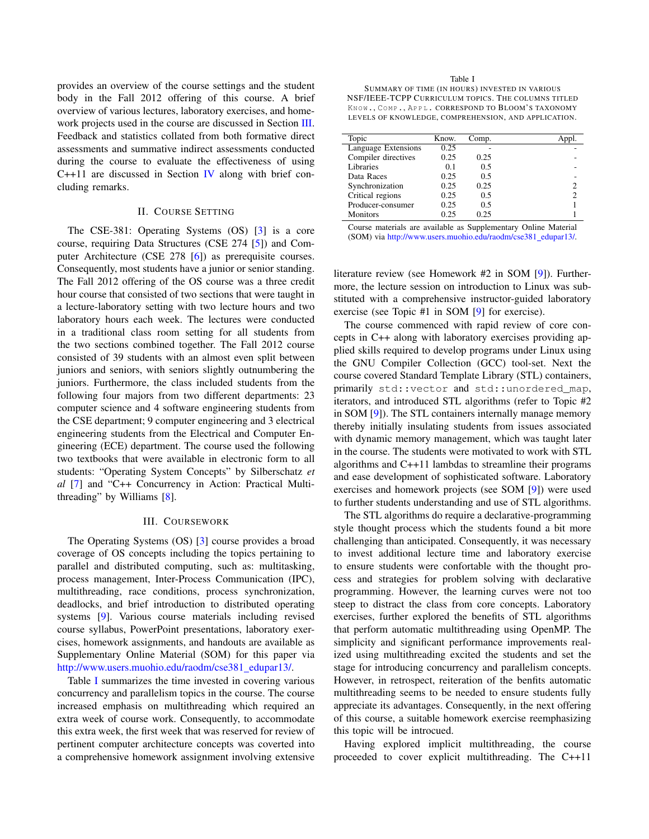provides an overview of the course settings and the student body in the Fall 2012 offering of this course. A brief overview of various lectures, laboratory exercises, and homework projects used in the course are discussed in Section [III.](#page-1-1) Feedback and statistics collated from both formative direct assessments and summative indirect assessments conducted during the course to evaluate the effectiveness of using C++11 are discussed in Section [IV](#page-2-0) along with brief concluding remarks.

## II. COURSE SETTING

<span id="page-1-0"></span>The CSE-381: Operating Systems (OS) [\[3\]](#page-3-2) is a core course, requiring Data Structures (CSE 274 [\[5\]](#page-3-4)) and Computer Architecture (CSE 278 [\[6\]](#page-3-5)) as prerequisite courses. Consequently, most students have a junior or senior standing. The Fall 2012 offering of the OS course was a three credit hour course that consisted of two sections that were taught in a lecture-laboratory setting with two lecture hours and two laboratory hours each week. The lectures were conducted in a traditional class room setting for all students from the two sections combined together. The Fall 2012 course consisted of 39 students with an almost even split between juniors and seniors, with seniors slightly outnumbering the juniors. Furthermore, the class included students from the following four majors from two different departments: 23 computer science and 4 software engineering students from the CSE department; 9 computer engineering and 3 electrical engineering students from the Electrical and Computer Engineering (ECE) department. The course used the following two textbooks that were available in electronic form to all students: "Operating System Concepts" by Silberschatz *et al* [\[7\]](#page-3-6) and "C++ Concurrency in Action: Practical Multithreading" by Williams [\[8\]](#page-3-7).

#### III. COURSEWORK

<span id="page-1-1"></span>The Operating Systems (OS) [\[3\]](#page-3-2) course provides a broad coverage of OS concepts including the topics pertaining to parallel and distributed computing, such as: multitasking, process management, Inter-Process Communication (IPC), multithreading, race conditions, process synchronization, deadlocks, and brief introduction to distributed operating systems [\[9\]](#page-3-8). Various course materials including revised course syllabus, PowerPoint presentations, laboratory exercises, homework assignments, and handouts are available as Supplementary Online Material (SOM) for this paper via [http://www.users.muohio.edu/raodm/cse381](http://www.users.muohio.edu/raodm/cse381_edupar13/)\_edupar13/.

Table [I](#page-1-2) summarizes the time invested in covering various concurrency and parallelism topics in the course. The course increased emphasis on multithreading which required an extra week of course work. Consequently, to accommodate this extra week, the first week that was reserved for review of pertinent computer architecture concepts was coverted into a comprehensive homework assignment involving extensive

<span id="page-1-2"></span>Table I SUMMARY OF TIME (IN HOURS) INVESTED IN VARIOUS NSF/IEEE-TCPP CURRICULUM TOPICS. THE COLUMNS TITLED KNOW., COMP., APPL. CORRESPOND TO BLOOM'S TAXONOMY LEVELS OF KNOWLEDGE, COMPREHENSION, AND APPLICATION.

| Topic               | Know. | Comp. |   |
|---------------------|-------|-------|---|
| Language Extensions | 0.25  |       |   |
| Compiler directives | 0.25  | 0.25  |   |
| Libraries           | 0.1   | 0.5   |   |
| Data Races          | 0.25  | 0.5   |   |
| Synchronization     | 0.25  | 0.25  |   |
| Critical regions    | 0.25  | 0.5   | っ |
| Producer-consumer   | 0.25  | 0.5   |   |
| <b>Monitors</b>     | 0.25  | 0.25  |   |

Course materials are available as Supplementary Online Material (SOM) via [http://www.users.muohio.edu/raodm/cse381](http://www.users.muohio.edu/raodm/cse381_edupar13/)\_edupar13/.

literature review (see Homework #2 in SOM [\[9\]](#page-3-8)). Furthermore, the lecture session on introduction to Linux was substituted with a comprehensive instructor-guided laboratory exercise (see Topic #1 in SOM [\[9\]](#page-3-8) for exercise).

The course commenced with rapid review of core concepts in C++ along with laboratory exercises providing applied skills required to develop programs under Linux using the GNU Compiler Collection (GCC) tool-set. Next the course covered Standard Template Library (STL) containers, primarily std::vector and std::unordered\_map, iterators, and introduced STL algorithms (refer to Topic #2 in SOM [\[9\]](#page-3-8)). The STL containers internally manage memory thereby initially insulating students from issues associated with dynamic memory management, which was taught later in the course. The students were motivated to work with STL algorithms and C++11 lambdas to streamline their programs and ease development of sophisticated software. Laboratory exercises and homework projects (see SOM [\[9\]](#page-3-8)) were used to further students understanding and use of STL algorithms.

The STL algorithms do require a declarative-programming style thought process which the students found a bit more challenging than anticipated. Consequently, it was necessary to invest additional lecture time and laboratory exercise to ensure students were confortable with the thought process and strategies for problem solving with declarative programming. However, the learning curves were not too steep to distract the class from core concepts. Laboratory exercises, further explored the benefits of STL algorithms that perform automatic multithreading using OpenMP. The simplicity and significant performance improvements realized using multithreading excited the students and set the stage for introducing concurrency and parallelism concepts. However, in retrospect, reiteration of the benfits automatic multithreading seems to be needed to ensure students fully appreciate its advantages. Consequently, in the next offering of this course, a suitable homework exercise reemphasizing this topic will be introcued.

Having explored implicit multithreading, the course proceeded to cover explicit multithreading. The C++11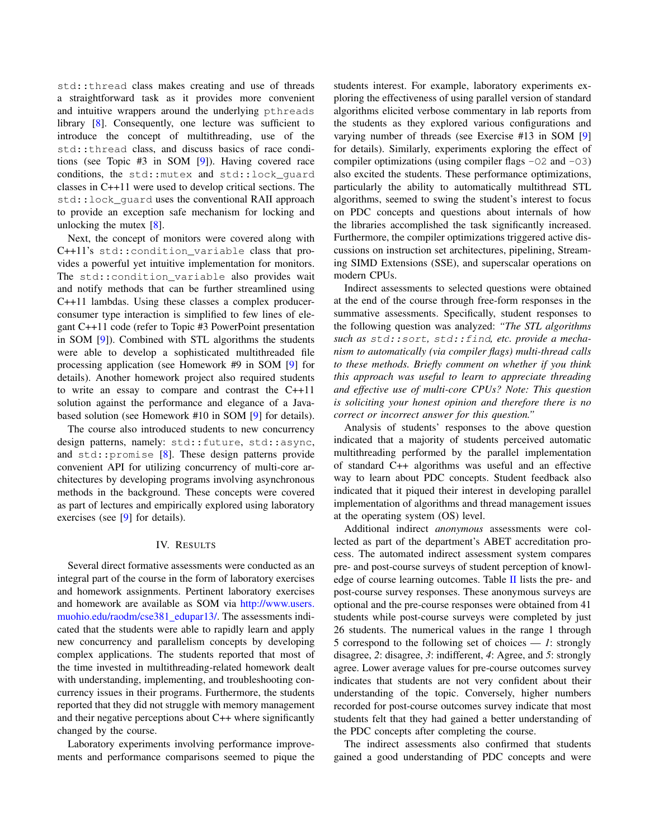std::thread class makes creating and use of threads a straightforward task as it provides more convenient and intuitive wrappers around the underlying pthreads library [\[8\]](#page-3-7). Consequently, one lecture was sufficient to introduce the concept of multithreading, use of the std::thread class, and discuss basics of race conditions (see Topic #3 in SOM [\[9\]](#page-3-8)). Having covered race conditions, the std::mutex and std::lock\_guard classes in C++11 were used to develop critical sections. The std::lock\_guard uses the conventional RAII approach to provide an exception safe mechanism for locking and unlocking the mutex [\[8\]](#page-3-7).

Next, the concept of monitors were covered along with C++11's std::condition\_variable class that provides a powerful yet intuitive implementation for monitors. The std:: condition variable also provides wait and notify methods that can be further streamlined using C++11 lambdas. Using these classes a complex producerconsumer type interaction is simplified to few lines of elegant C++11 code (refer to Topic #3 PowerPoint presentation in SOM [\[9\]](#page-3-8)). Combined with STL algorithms the students were able to develop a sophisticated multithreaded file processing application (see Homework #9 in SOM [\[9\]](#page-3-8) for details). Another homework project also required students to write an essay to compare and contrast the C++11 solution against the performance and elegance of a Javabased solution (see Homework #10 in SOM [\[9\]](#page-3-8) for details).

The course also introduced students to new concurrency design patterns, namely: std::future, std::async, and std::promise [\[8\]](#page-3-7). These design patterns provide convenient API for utilizing concurrency of multi-core architectures by developing programs involving asynchronous methods in the background. These concepts were covered as part of lectures and empirically explored using laboratory exercises (see [\[9\]](#page-3-8) for details).

#### IV. RESULTS

<span id="page-2-0"></span>Several direct formative assessments were conducted as an integral part of the course in the form of laboratory exercises and homework assignments. Pertinent laboratory exercises and homework are available as SOM via [http://www.users.](http://www.users.muohio.edu/raodm/cse381_edupar13/) [muohio.edu/raodm/cse381](http://www.users.muohio.edu/raodm/cse381_edupar13/)\_edupar13/. The assessments indicated that the students were able to rapidly learn and apply new concurrency and parallelism concepts by developing complex applications. The students reported that most of the time invested in multithreading-related homework dealt with understanding, implementing, and troubleshooting concurrency issues in their programs. Furthermore, the students reported that they did not struggle with memory management and their negative perceptions about C++ where significantly changed by the course.

Laboratory experiments involving performance improvements and performance comparisons seemed to pique the students interest. For example, laboratory experiments exploring the effectiveness of using parallel version of standard algorithms elicited verbose commentary in lab reports from the students as they explored various configurations and varying number of threads (see Exercise #13 in SOM [\[9\]](#page-3-8) for details). Similarly, experiments exploring the effect of compiler optimizations (using compiler flags  $-02$  and  $-03$ ) also excited the students. These performance optimizations, particularly the ability to automatically multithread STL algorithms, seemed to swing the student's interest to focus on PDC concepts and questions about internals of how the libraries accomplished the task significantly increased. Furthermore, the compiler optimizations triggered active discussions on instruction set architectures, pipelining, Streaming SIMD Extensions (SSE), and superscalar operations on modern CPUs.

Indirect assessments to selected questions were obtained at the end of the course through free-form responses in the summative assessments. Specifically, student responses to the following question was analyzed: *"The STL algorithms such as* std::sort*,* std::find*, etc. provide a mechanism to automatically (via compiler flags) multi-thread calls to these methods. Briefly comment on whether if you think this approach was useful to learn to appreciate threading and effective use of multi-core CPUs? Note: This question is soliciting your honest opinion and therefore there is no correct or incorrect answer for this question."*

Analysis of students' responses to the above question indicated that a majority of students perceived automatic multithreading performed by the parallel implementation of standard C++ algorithms was useful and an effective way to learn about PDC concepts. Student feedback also indicated that it piqued their interest in developing parallel implementation of algorithms and thread management issues at the operating system (OS) level.

Additional indirect *anonymous* assessments were collected as part of the department's ABET accreditation process. The automated indirect assessment system compares pre- and post-course surveys of student perception of knowledge of course learning outcomes. Table  $II$  lists the pre- and post-course survey responses. These anonymous surveys are optional and the pre-course responses were obtained from 41 students while post-course surveys were completed by just 26 students. The numerical values in the range 1 through 5 correspond to the following set of choices — *1*: strongly disagree, *2*: disagree, *3*: indifferent, *4*: Agree, and *5*: strongly agree. Lower average values for pre-course outcomes survey indicates that students are not very confident about their understanding of the topic. Conversely, higher numbers recorded for post-course outcomes survey indicate that most students felt that they had gained a better understanding of the PDC concepts after completing the course.

The indirect assessments also confirmed that students gained a good understanding of PDC concepts and were